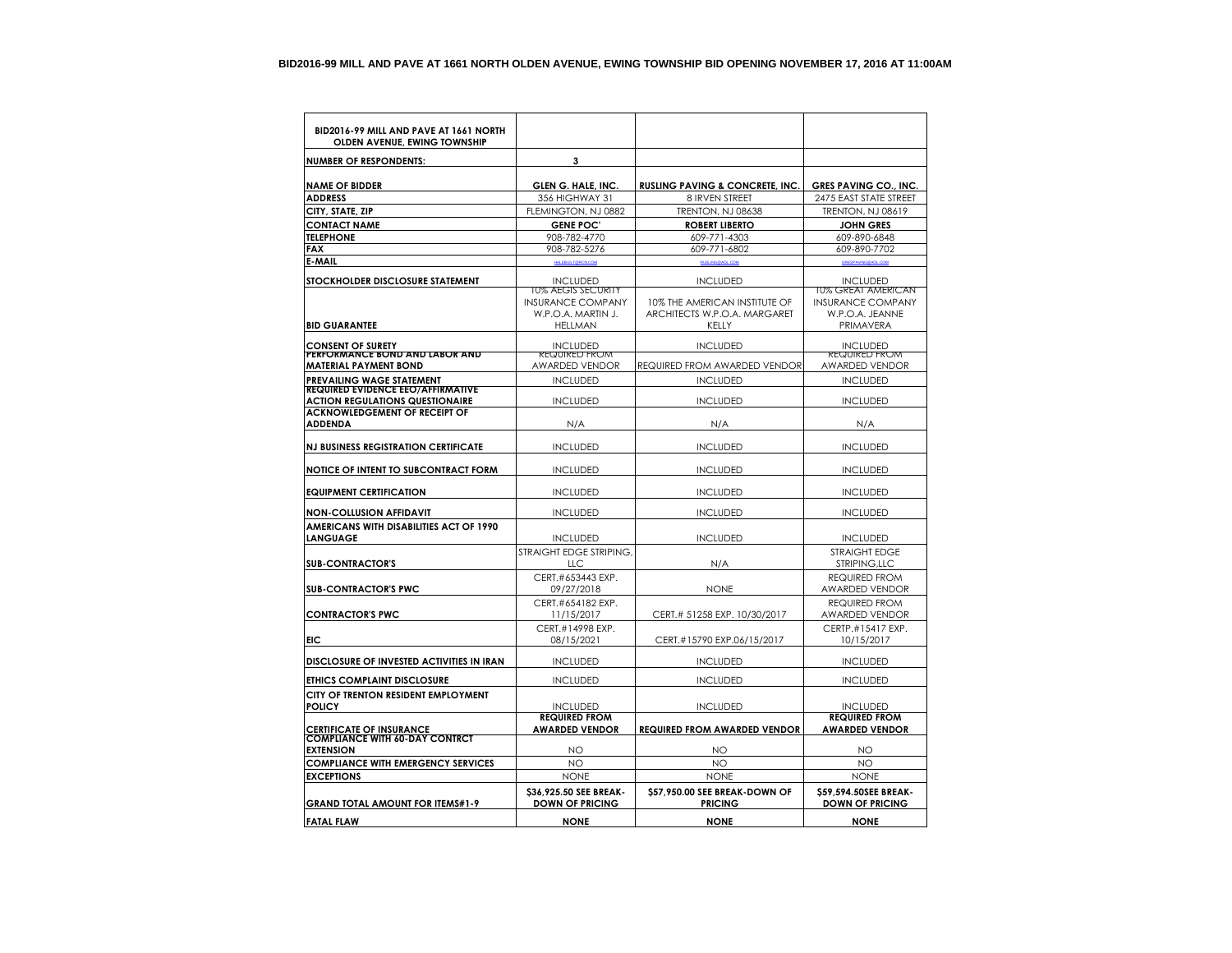| BID2016-99 MILL AND PAVE AT 1661 NORTH<br>OLDEN AVENUE, EWING TOWNSHIP       |                                                                                               |                                                                        |                                                                                |
|------------------------------------------------------------------------------|-----------------------------------------------------------------------------------------------|------------------------------------------------------------------------|--------------------------------------------------------------------------------|
| <b>NUMBER OF RESPONDENTS:</b>                                                | 3                                                                                             |                                                                        |                                                                                |
| <b>NAME OF BIDDER</b>                                                        |                                                                                               |                                                                        |                                                                                |
| <b>ADDRESS</b>                                                               | GLEN G. HALE, INC<br>356 HIGHWAY 31                                                           | <b>RUSLING PAVING &amp; CONCRETE, INC.</b><br>8 IRVEN STREET           | <b>GRES PAVING CO., INC.</b><br>2475 EAST STATE STREET                         |
| CITY, STATE, ZIP                                                             | FLEMINGTON, NJ 0882                                                                           | <b>TRENTON, NJ 08638</b>                                               | <b>TRENTON, NJ 08619</b>                                                       |
| <b>CONTACT NAME</b>                                                          | <b>GENE POC'</b>                                                                              | <b>ROBERT LIBERTO</b>                                                  | <b>JOHN GRES</b>                                                               |
| <b>TELEPHONE</b>                                                             | 908-782-4770                                                                                  | 609-771-4303                                                           | 609-890-6848                                                                   |
| <b>FAX</b>                                                                   | 908-782-5276                                                                                  | 609-771-6802                                                           | 609-890-7702                                                                   |
| <b>E-MAIL</b>                                                                | <b>HALEBUILT@RCN.COM</b>                                                                      | <b>RUSLING@AOL.COM</b>                                                 | GRESPAVING @AOL.COM                                                            |
| STOCKHOLDER DISCLOSURE STATEMENT                                             | <b>INCLUDED</b>                                                                               | <b>INCLUDED</b>                                                        | <b>INCLUDED</b>                                                                |
| <b>BID GUARANTEE</b>                                                         | <b>10% AEGIS SECURITY</b><br><b>INSURANCE COMPANY</b><br>W.P.O.A. MARTIN J.<br><b>HELLMAN</b> | 10% THE AMERICAN INSTITUTE OF<br>ARCHITECTS W.P.O.A. MARGARET<br>KELLY | 10% GREAT AMERICAN<br><b>INSURANCE COMPANY</b><br>W.P.O.A. JEANNE<br>PRIMAVERA |
| <b>CONSENT OF SURETY</b>                                                     | <b>INCLUDED</b>                                                                               | <b>INCLUDED</b>                                                        | <b>INCLUDED</b>                                                                |
| PERFORMANCE BOND AND LABOR AND                                               | <b>REQUIRED FROM</b>                                                                          |                                                                        | <b>REQUIRED FROM</b>                                                           |
| <b>MATERIAL PAYMENT BOND</b>                                                 | AWARDED VENDOR                                                                                | <b>REQUIRED FROM AWARDED VENDOR</b>                                    | AWARDED VENDOR                                                                 |
| <b>PREVAILING WAGE STATEMENT</b><br><b>REQUIRED EVIDENCE EEO/AFFIRMATIVE</b> | <b>INCLUDED</b>                                                                               | <b>INCLUDED</b>                                                        | <b>INCLUDED</b>                                                                |
| <b>ACTION REGULATIONS QUESTIONAIRE</b>                                       | <b>INCLUDED</b>                                                                               | <b>INCLUDED</b>                                                        | <b>INCLUDED</b>                                                                |
| <b>ACKNOWLEDGEMENT OF RECEIPT OF</b>                                         |                                                                                               |                                                                        |                                                                                |
| <b>ADDENDA</b>                                                               | N/A                                                                                           | N/A                                                                    | N/A                                                                            |
|                                                                              |                                                                                               |                                                                        |                                                                                |
| <b>NJ BUSINESS REGISTRATION CERTIFICATE</b>                                  | <b>INCLUDED</b>                                                                               | <b>INCLUDED</b>                                                        | <b>INCLUDED</b>                                                                |
| NOTICE OF INTENT TO SUBCONTRACT FORM                                         | <b>INCLUDED</b>                                                                               | <b>INCLUDED</b>                                                        | <b>INCLUDED</b>                                                                |
| <b>EQUIPMENT CERTIFICATION</b>                                               | <b>INCLUDED</b>                                                                               | <b>INCLUDED</b>                                                        | <b>INCLUDED</b>                                                                |
| <b>NON-COLLUSION AFFIDAVIT</b>                                               | <b>INCLUDED</b>                                                                               | <b>INCLUDED</b>                                                        | <b>INCLUDED</b>                                                                |
| <b>AMERICANS WITH DISABILITIES ACT OF 1990</b><br><b>LANGUAGE</b>            | <b>INCLUDED</b>                                                                               | <b>INCLUDED</b>                                                        | <b>INCLUDED</b>                                                                |
|                                                                              | STRAIGHT EDGE STRIPING                                                                        |                                                                        | <b>STRAIGHT EDGE</b>                                                           |
| <b>SUB-CONTRACTOR'S</b>                                                      | <b>LLC</b>                                                                                    | N/A                                                                    | STRIPING, LLC                                                                  |
| <b>SUB-CONTRACTOR'S PWC</b>                                                  | CERT.#653443 EXP.<br>09/27/2018                                                               | <b>NONE</b>                                                            | <b>REQUIRED FROM</b><br><b>AWARDED VENDOR</b>                                  |
| <b>CONTRACTOR'S PWC</b>                                                      | CERT.#654182 EXP.<br>11/15/2017                                                               | CERT.# 51258 EXP. 10/30/2017                                           | <b>REQUIRED FROM</b><br><b>AWARDED VENDOR</b>                                  |
|                                                                              | CERT.#14998 EXP.                                                                              |                                                                        | CFRTP.#15417 FXP.                                                              |
| EIC                                                                          | 08/15/2021                                                                                    | CERT.#15790 EXP.06/15/2017                                             | 10/15/2017                                                                     |
| DISCLOSURE OF INVESTED ACTIVITIES IN IRAN                                    | <b>INCLUDED</b>                                                                               | <b>INCLUDED</b>                                                        | <b>INCLUDED</b>                                                                |
| <b>ETHICS COMPLAINT DISCLOSURE</b>                                           | <b>INCLUDED</b>                                                                               | <b>INCLUDED</b>                                                        | <b>INCLUDED</b>                                                                |
| CITY OF TRENTON RESIDENT EMPLOYMENT<br><b>POLICY</b>                         | <b>INCLUDED</b>                                                                               | <b>INCLUDED</b>                                                        | <b>INCLUDED</b>                                                                |
|                                                                              | <b>REQUIRED FROM</b>                                                                          |                                                                        | <b>REQUIRED FROM</b>                                                           |
| <b>CERTIFICATE OF INSURANCE</b><br><b>COMPLIANCE WITH 60-DAY CONTRCT</b>     | <b>AWARDED VENDOR</b>                                                                         | <b>REQUIRED FROM AWARDED VENDOR</b>                                    | <b>AWARDED VENDOR</b>                                                          |
| <b>EXTENSION</b>                                                             | NO                                                                                            | NO                                                                     | NO                                                                             |
| <b>COMPLIANCE WITH EMERGENCY SERVICES</b>                                    | NO                                                                                            | NO                                                                     | NO                                                                             |
| <b>EXCEPTIONS</b>                                                            | <b>NONE</b>                                                                                   | <b>NONE</b>                                                            | <b>NONE</b>                                                                    |
| <b>GRAND TOTAL AMOUNT FOR ITEMS#1-9</b>                                      | \$36,925.50 SEE BREAK-<br><b>DOWN OF PRICING</b>                                              | \$57,950.00 SEE BREAK-DOWN OF<br><b>PRICING</b>                        | \$59.594.50SEE BREAK-<br><b>DOWN OF PRICING</b>                                |
| <b>FATAL FLAW</b>                                                            | <b>NONE</b>                                                                                   | <b>NONE</b>                                                            | <b>NONE</b>                                                                    |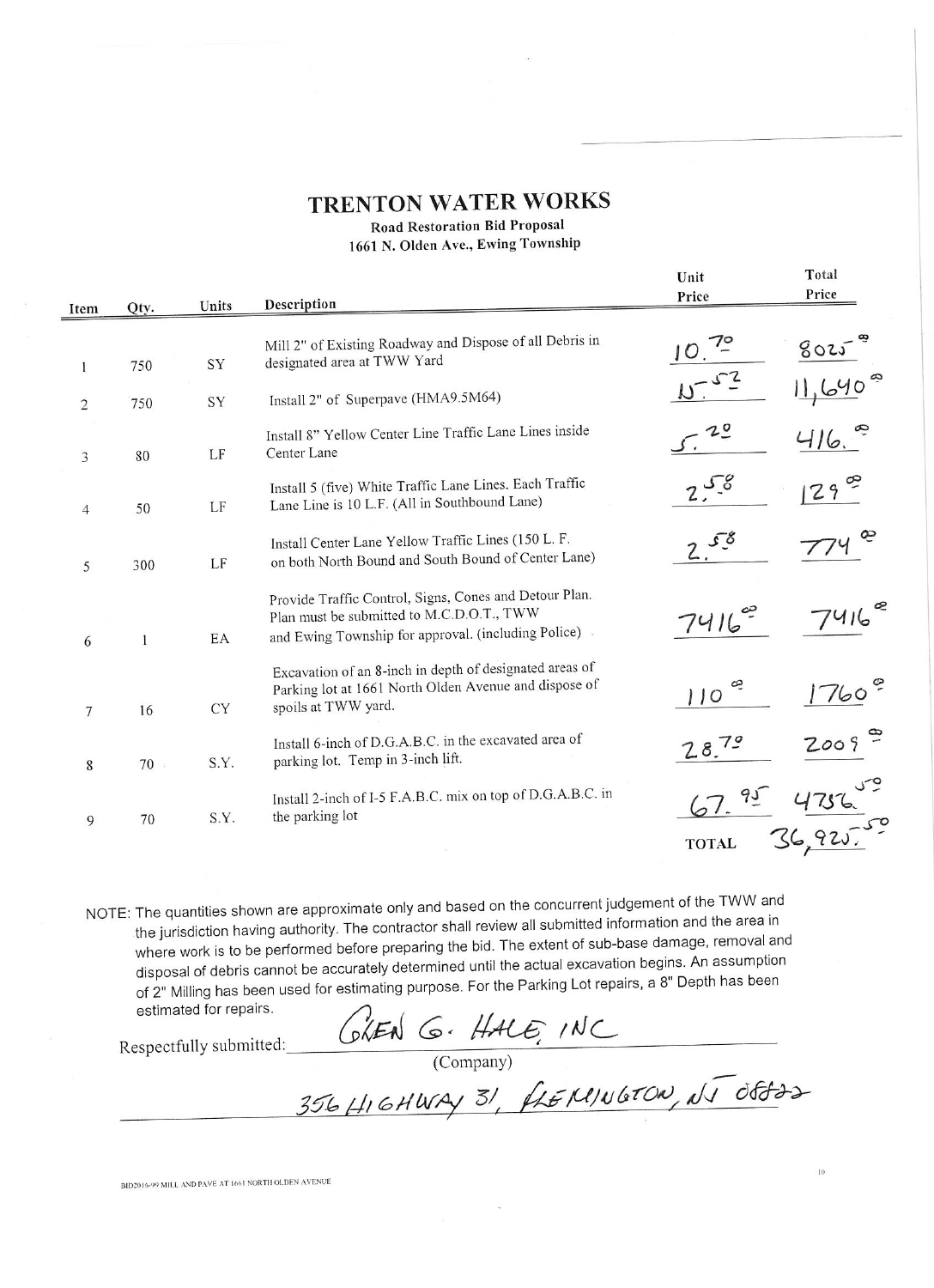# **TRENTON WATER WORKS**

### **Road Restoration Bid Proposal**

1661 N. Olden Ave., Ewing Township

|     |             |                                                                                                                                                            | Unit                        | Total  |
|-----|-------------|------------------------------------------------------------------------------------------------------------------------------------------------------------|-----------------------------|--------|
|     | Units       | Description                                                                                                                                                | Price                       | Price  |
|     |             | Mill 2" of Existing Roadway and Dispose of all Debris in                                                                                                   |                             | 8025   |
| 750 | SY          | Install 2" of Superpave (HMA9.5M64)                                                                                                                        |                             |        |
| 80  | LF          | Install 8" Yellow Center Line Traffic Lane Lines inside<br>Center Lane                                                                                     |                             | 416.   |
| 50  | LF          | Install 5 (five) White Traffic Lane Lines. Each Traffic<br>Lane Line is 10 L.F. (All in Southbound Lane)                                                   |                             | 129    |
| 300 | LF          | Install Center Lane Yellow Traffic Lines (150 L. F.<br>on both North Bound and South Bound of Center Lane)                                                 |                             |        |
|     | EA          | Provide Traffic Control, Signs, Cones and Detour Plan.<br>Plan must be submitted to M.C.D.O.T., TWW<br>and Ewing Township for approval. (including Police) | 7416                        |        |
| 16  | <b>CY</b>   | Excavation of an 8-inch in depth of designated areas of<br>Parking lot at 1661 North Olden Avenue and dispose of<br>spoils at TWW yard.                    | e<br>110                    | 760    |
| 70  | S.Y.        | Install 6-inch of D.G.A.B.C. in the excavated area of<br>parking lot. Temp in 3-inch lift.                                                                 | 28.79                       | 2009   |
| 70  | S.Y.        | Install 2-inch of I-5 F.A.B.C. mix on top of D.G.A.B.C. in<br>the parking lot                                                                              | <b>TOTAL</b>                | 36.925 |
|     | Qty.<br>750 | SY                                                                                                                                                         | designated area at TWW Yard |        |

NOTE: The quantities shown are approximate only and based on the concurrent judgement of the TWW and the jurisdiction having authority. The contractor shall review all submitted information and the area in where work is to be performed before preparing the bid. The extent of sub-base damage, removal and disposal of debris cannot be accurately determined until the actual excavation begins. An assumption of 2" Milling has been used for estimating purpose. For the Parking Lot repairs, a 8" Depth has been estimated for repairs.

Respectfully submitted:

GLEN G. HALE, INC<br>(Company)<br>356 HIGHWAY 31, FLEMINGTON, NJ OSTOS

 $10^{\circ}$ 

BID2016-99 MILL AND PAVE AT 1661 NORTH OLDEN AVENUE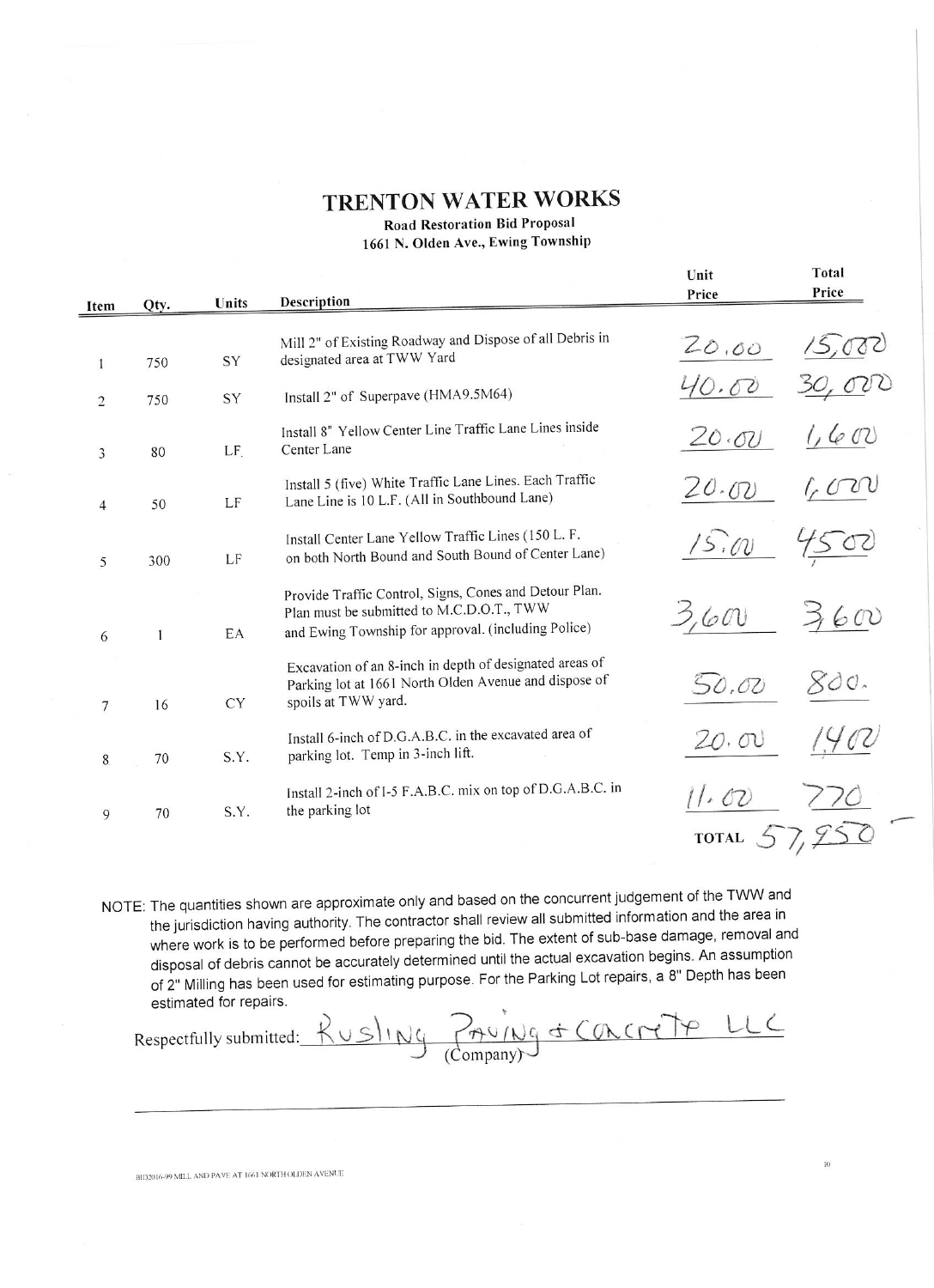### **TRENTON WATER WORKS**

**Road Restoration Bid Proposal** 

1661 N. Olden Ave., Ewing Township

|                 |      |           |                                                                                                                                                            | Unit         | Total |
|-----------------|------|-----------|------------------------------------------------------------------------------------------------------------------------------------------------------------|--------------|-------|
| Item            | Qty. | Units     | <b>Description</b>                                                                                                                                         | Price        | Price |
|                 |      |           |                                                                                                                                                            |              |       |
| 1               | 750  | SY        | Mill 2" of Existing Roadway and Dispose of all Debris in<br>designated area at TWW Yard                                                                    | 20.00        |       |
| $\overline{2}$  | 750  | SY        | Install 2" of Superpave (HMA9.5M64)                                                                                                                        | .00          |       |
| 3               | 80   | LF.       | Install 8" Yellow Center Line Traffic Lane Lines inside<br>Center Lane                                                                                     | 20.00        | 1,602 |
| $\overline{4}$  | 50   | LF        | Install 5 (five) White Traffic Lane Lines. Each Traffic<br>Lane Line is 10 L.F. (All in Southbound Lane)                                                   | 20.00        |       |
| 5               | 300  | LF        | Install Center Lane Yellow Traffic Lines (150 L. F.<br>on both North Bound and South Bound of Center Lane)                                                 | 15.00        |       |
| 6               | 1    | EA        | Provide Traffic Control, Signs, Cones and Detour Plan.<br>Plan must be submitted to M.C.D.O.T., TWW<br>and Ewing Township for approval. (including Police) | 3,600        | 600   |
| $7\phantom{.0}$ | 16   | <b>CY</b> | Excavation of an 8-inch in depth of designated areas of<br>Parking lot at 1661 North Olden Avenue and dispose of<br>spoils at TWW yard.                    | 50,00        |       |
| 8               | 70   | S.Y.      | Install 6-inch of D.G.A.B.C. in the excavated area of<br>parking lot. Temp in 3-inch lift.                                                                 | 20.00        |       |
| 9               | 70   | S.Y.      | Install 2-inch of I-5 F.A.B.C. mix on top of D.G.A.B.C. in<br>the parking lot                                                                              | 11.02        |       |
|                 |      |           |                                                                                                                                                            | <b>TOTAL</b> |       |

NOTE: The quantities shown are approximate only and based on the concurrent judgement of the TWW and the jurisdiction having authority. The contractor shall review all submitted information and the area in where work is to be performed before preparing the bid. The extent of sub-base damage, removal and disposal of debris cannot be accurately determined until the actual excavation begins. An assumption of 2" Milling has been used for estimating purpose. For the Parking Lot repairs, a 8" Depth has been estimated for repairs.

Rusling Paving & Concrete LLC Respectfully submitted:

BID2016-99 MILL AND PAVE AT 1661 NORTH OLDEN AVENUE

 $\overline{10}$